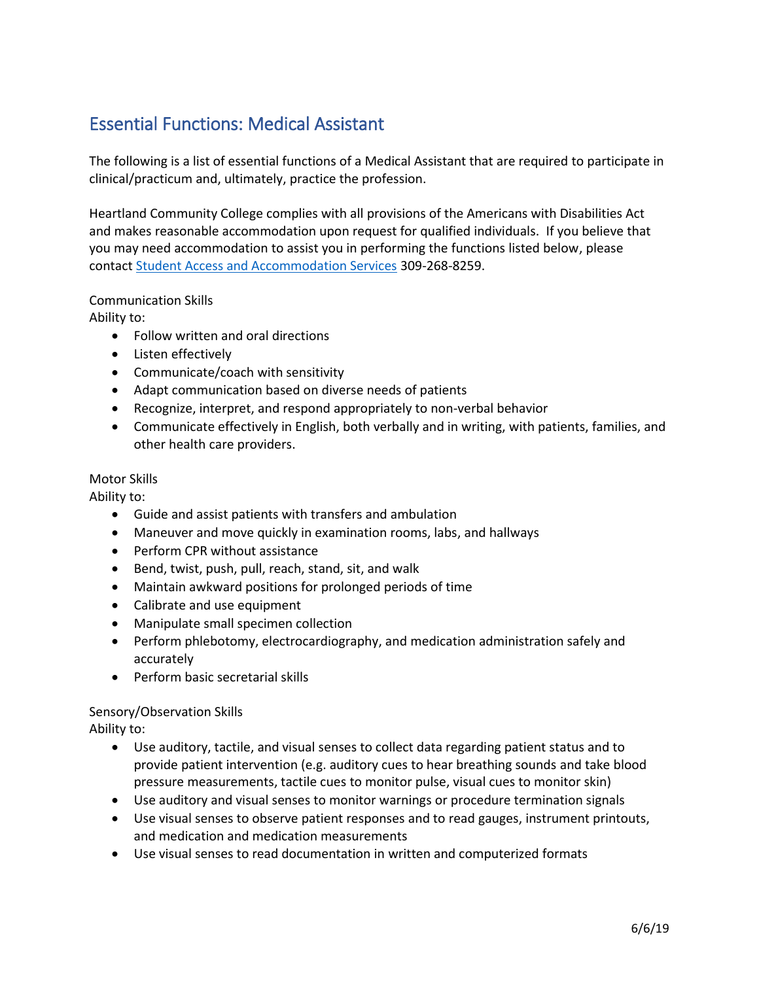## Essential Functions: Medical Assistant

The following is a list of essential functions of a Medical Assistant that are required to participate in clinical/practicum and, ultimately, practice the profession.

Heartland Community College complies with all provisions of the Americans with Disabilities Act and makes reasonable accommodation upon request for qualified individuals. If you believe that you may need accommodation to assist you in performing the functions listed below, please contac[t Student Access and Accommodation Services](https://www.heartland.edu/accommodations/index.html) 309-268-8259.

## Communication Skills

Ability to:

- Follow written and oral directions
- Listen effectively
- Communicate/coach with sensitivity
- Adapt communication based on diverse needs of patients
- Recognize, interpret, and respond appropriately to non-verbal behavior
- Communicate effectively in English, both verbally and in writing, with patients, families, and other health care providers.

## Motor Skills

Ability to:

- Guide and assist patients with transfers and ambulation
- Maneuver and move quickly in examination rooms, labs, and hallways
- Perform CPR without assistance
- Bend, twist, push, pull, reach, stand, sit, and walk
- Maintain awkward positions for prolonged periods of time
- Calibrate and use equipment
- Manipulate small specimen collection
- Perform phlebotomy, electrocardiography, and medication administration safely and accurately
- Perform basic secretarial skills

## Sensory/Observation Skills

Ability to:

- Use auditory, tactile, and visual senses to collect data regarding patient status and to provide patient intervention (e.g. auditory cues to hear breathing sounds and take blood pressure measurements, tactile cues to monitor pulse, visual cues to monitor skin)
- Use auditory and visual senses to monitor warnings or procedure termination signals
- Use visual senses to observe patient responses and to read gauges, instrument printouts, and medication and medication measurements
- Use visual senses to read documentation in written and computerized formats